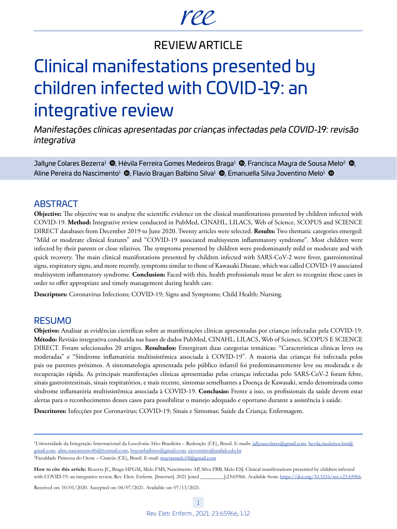# ree

# REVIEW ARTICLE

# Clinical manifestations presented by children infected with COVID-19: an integrative review

*Manifestações clínicas apresentadas por crianças infectadas pela COVID-19: revisão integrativa*

Jallyne Colares Bezerra<sup>[1](https://orcid.org/0000-0002-9527-8341)</sup> (D[,](https://orcid.org/0000-0003-4188-2882) Hévila Ferreira Gomes Medeiros Braga<sup>1</sup> (D, Francisca Mayra de Sousa Melo<sup>[2](https://orcid.org/0000-0002-9622-7669)</sup> (D, Aline Pereira do Nascimento<sup>[1](https://orcid.org/0000-0001-9786-5059)</sup> (®[,](https://orcid.org/0000-0002-6089-2747) Flavio Brayan Balbino Silva<sup>1</sup> ®, Emanuella Silva Joventino Melo<sup>1</sup> ®

# **ABSTRACT**

**Objective:** The objective was to analyze the scientific evidence on the clinical manifestations presented by children infected with COVID-19. **Method:** Integrative review conducted in PubMed, CINAHL, LILACS, Web of Science, SCOPUS and SCIENCE DIRECT databases from December 2019 to June 2020. Twenty articles were selected. **Results:** Two thematic categories emerged: "Mild or moderate clinical features" and "COVID-19 associated multisystem inflammatory syndrome". Most children were infected by their parents or close relatives. The symptoms presented by children were predominantly mild or moderate and with quick recovery. The main clinical manifestations presented by children infected with SARS-CoV-2 were fever, gastrointestinal signs, respiratory signs, and more recently, symptoms similar to those of Kawasaki Disease, which was called COVID-19 associated multisystem inflammatory syndrome. **Conclusion:** Faced with this, health professionals must be alert to recognize these cases in order to offer appropriate and timely management during health care.

**Descriptors:** Coronavirus Infections; COVID-19; Signs and Symptoms; Child Health; Nursing.

# RESUMO

**Objetivo:** Analisar as evidências científicas sobre as manifestações clínicas apresentadas por crianças infectadas pela COVID-19. **Método:** Revisão integrativa conduzida nas bases de dados PubMed, CINAHL, LILACS, Web of Science, SCOPUS E SCIENCE DIRECT. Foram selecionados 20 artigos. **Resultados:** Emergiram duas categorias temáticas: "Características clínicas leves ou moderadas" e "Síndrome inflamatória multissistêmica associada à COVID-19". A maioria das crianças foi infectada pelos pais ou parentes próximos. A sintomatologia apresentada pelo público infantil foi predominantemente leve ou moderada e de recuperação rápida. As principais manifestações clínicas apresentadas pelas crianças infectadas pelo SARS-CoV-2 foram febre, sinais gastrointestinais, sinais respiratórios, e mais recente, sintomas semelhantes a Doença de Kawasaki, sendo denominada como síndrome inflamatória multissistêmica associada à COVID-19. **Conclusão:** Frente a isso, os profissionais da saúde devem estar alertas para o reconhecimento desses casos para possibilitar o manejo adequado e oportuno durante a assistência à saúde.

**Descritores:** Infecções por Coronavirus; COVID-19; Sinais e Sintomas; Saúde da Criança; Enfermagem.

Received on: 10/01/2020. Accepted on: 04/07/2021. Available on: 07/13/2021.

<sup>&</sup>lt;sup>1</sup>Universidade da Integração Internacional da Lusofonia Afro-Brasileira - Redenção (CE), Brasil. E-mails: [jallynecolares@gmail.com](mailto:jallynecolares@gmail.com), [hevila.medeiros.hm@](mailto:hevila.medeiros.hm@gmail.com) [gmail.com](mailto:hevila.medeiros.hm@gmail.com), [aline.nascimento86@hotmail.com,](mailto:aline.nascimento86@hotmail.com) [brayanbalbino@gmail.com,](mailto:brayanbalbino@gmail.com) [ejoventino@unilab.edu.br](mailto:ejoventino@unilab.edu.br) <sup>2</sup>Faculdade Princesa do Oeste - Crateús (CE), Brasil. E-mail: [mayrasmelo18@gmail.com](mailto:mayrasmelo18@gmail.com)

**How to cite this article:** Bezerra JC, Braga HFGM, Melo FMS, Nascimento AP, Silva FBB, Melo ESJ. Clinical manifestations presented by children infected with COVID-19: an integrative review. Rev. Eletr. Enferm. [Internet]. 2021 [cited \_\_\_\_\_\_\_\_];23:65966. Available from: [https://doi.org/10.5216/ree.v23.65966.](https://doi.org/10.5216/ree.v23.65966)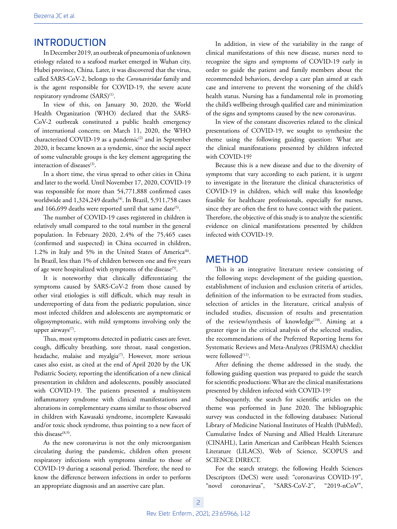# INTRODUCTION

In December 2019, an outbreak of pneumonia of unknown etiology related to a seafood market emerged in Wuhan city, Hubei province, China. Later, it was discovered that the virus, called SARS-CoV-2, belongs to the *Coronaviridae* family and is the agent responsible for COVID-19, the severe acute respiratory syndrome (SARS)<sup>(1)</sup>.

In view of this, on January 30, 2020, the World Health Organization (WHO) declared that the SARS-CoV-2 outbreak constituted a public health emergency of international concern; on March 11, 2020, the WHO characterized COVID-19 as a pandemic<sup>(2)</sup> and in September 2020, it became known as a syndemic, since the social aspect of some vulnerable groups is the key element aggregating the interaction of diseases<sup>(3)</sup>.

In a short time, the virus spread to other cities in China and later to the world. Until November 17, 2020, COVID-19 was responsible for more than 54,771,888 confirmed cases worldwide and  $1,324,249$  deaths<sup>(4)</sup>. In Brazil, 5,911,758 cases and  $166,699$  deaths were reported until that same date<sup>(5)</sup>.

The number of COVID-19 cases registered in children is relatively small compared to the total number in the general population. In February 2020, 2.4% of the 75,465 cases (confirmed and suspected) in China occurred in children, 1.2% in Italy and 5% in the United States of America<sup>(6)</sup>. In Brazil, less than 1% of children between one and five years of age were hospitalized with symptoms of the disease<sup>(5)</sup>.

It is noteworthy that clinically differentiating the symptoms caused by SARS-CoV-2 from those caused by other viral etiologies is still difficult, which may result in underreporting of data from the pediatric population, since most infected children and adolescents are asymptomatic or oligosymptomatic, with mild symptoms involving only the upper airways $(7)$ .

Thus, most symptoms detected in pediatric cases are fever, cough, difficulty breathing, sore throat, nasal congestion, headache, malaise and myalgia<sup>(7)</sup>. However, more serious cases also exist, as cited at the end of April 2020 by the UK Pediatric Society, reporting the identification of a new clinical presentation in children and adolescents, possibly associated with COVID-19. The patients presented a multisystem inflammatory syndrome with clinical manifestations and alterations in complementary exams similar to those observed in children with Kawasaki syndrome, incomplete Kawasaki and/or toxic shock syndrome, thus pointing to a new facet of this disease $^{(8,9)}$ .

As the new coronavirus is not the only microorganism circulating during the pandemic, children often present respiratory infections with symptoms similar to those of COVID-19 during a seasonal period. Therefore, the need to know the difference between infections in order to perform an appropriate diagnosis and an assertive care plan.

In addition, in view of the variability in the range of clinical manifestations of this new disease, nurses need to recognize the signs and symptoms of COVID-19 early in order to guide the patient and family members about the recommended behaviors, develop a care plan aimed at each case and intervene to prevent the worsening of the child's health status. Nursing has a fundamental role in promoting the child's wellbeing through qualified care and minimization of the signs and symptoms caused by the new coronavirus.

In view of the constant discoveries related to the clinical presentations of COVID-19, we sought to synthesize the theme using the following guiding question: What are the clinical manifestations presented by children infected with COVID-19?

Because this is a new disease and due to the diversity of symptoms that vary according to each patient, it is urgent to investigate in the literature the clinical characteristics of COVID-19 in children, which will make this knowledge feasible for healthcare professionals, especially for nurses, since they are often the first to have contact with the patient. Therefore, the objective of this study is to analyze the scientific evidence on clinical manifestations presented by children infected with COVID-19.

# **METHOD**

This is an integrative literature review consisting of the following steps: development of the guiding question, establishment of inclusion and exclusion criteria of articles, definition of the information to be extracted from studies, selection of articles in the literature, critical analysis of included studies, discussion of results and presentation of the review/synthesis of knowledge<sup>(10)</sup>. Aiming at a greater rigor in the critical analysis of the selected studies, the recommendations of the Preferred Reporting Items for Systematic Reviews and Meta-Analyzes (PRISMA) checklist were followed<sup>(11)</sup>.

After defining the theme addressed in the study, the following guiding question was prepared to guide the search for scientific productions: What are the clinical manifestations presented by children infected with COVID-19?

Subsequently, the search for scientific articles on the theme was performed in June 2020. The bibliographic survey was conducted in the following databases: National Library of Medicine National Institutes of Health (PubMed), Cumulative Index of Nursing and Allied Health Literature (CINAHL), Latin American and Caribbean Health Sciences Literature (LILACS), Web of Science, SCOPUS and SCIENCE DIRECT.

For the search strategy, the following Health Sciences Descriptors (DeCS) were used: "coronavirus COVID-19", "novel coronavirus", "SARS-CoV-2", "2019-nCoV",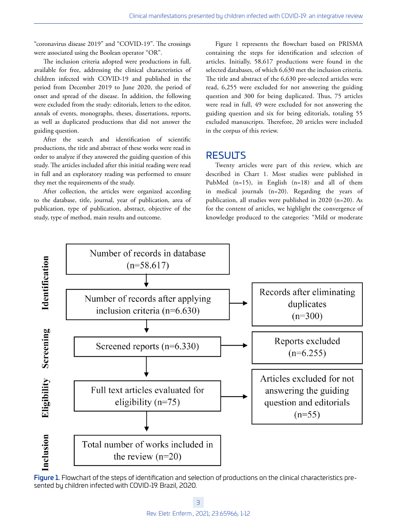"coronavirus disease 2019" and "COVID-19". The crossings were associated using the Boolean operator "OR".

The inclusion criteria adopted were productions in full, available for free, addressing the clinical characteristics of children infected with COVID-19 and published in the period from December 2019 to June 2020, the period of onset and spread of the disease. In addition, the following were excluded from the study: editorials, letters to the editor, annals of events, monographs, theses, dissertations, reports, as well as duplicated productions that did not answer the guiding question.

After the search and identification of scientific productions, the title and abstract of these works were read in order to analyze if they answered the guiding question of this study. The articles included after this initial reading were read in full and an exploratory reading was performed to ensure they met the requirements of the study.

After collection, the articles were organized according to the database, title, journal, year of publication, area of publication, type of publication, abstract, objective of the study, type of method, main results and outcome.

Figure 1 represents the flowchart based on PRISMA containing the steps for identification and selection of articles. Initially, 58,617 productions were found in the selected databases, of which 6,630 met the inclusion criteria. The title and abstract of the 6,630 pre-selected articles were read, 6,255 were excluded for not answering the guiding question and 300 for being duplicated. Thus, 75 articles were read in full, 49 were excluded for not answering the guiding question and six for being editorials, totaling 55 excluded manuscripts. Therefore, 20 articles were included in the corpus of this review.

## RESULTS

Twenty articles were part of this review, which are described in Chart 1. Most studies were published in PubMed (n=15), in English (n=18) and all of them in medical journals (n=20). Regarding the years of publication, all studies were published in 2020 (n=20). As for the content of articles, we highlight the convergence of knowledge produced to the categories: "Mild or moderate



Figure 1. Flowchart of the steps of identification and selection of productions on the clinical characteristics presented by children infected with COVID-19. Brazil, 2020.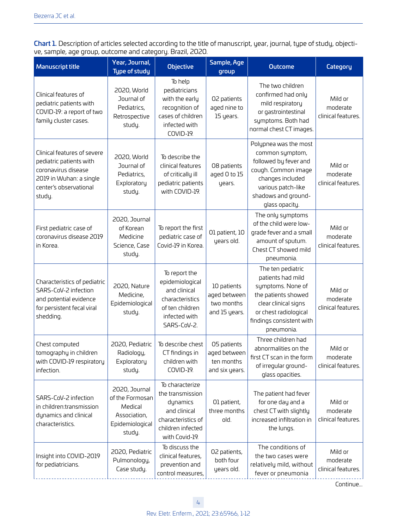Chart 1. Description of articles selected according to the title of manuscript, year, journal, type of study, objective, sample, age group, outcome and category. Brazil, 2020.

| <b>Manuscript title</b>                                                                                                                      | Year, Journal,<br><b>Type of study</b>                                                   | <b>Objective</b>                                                                                                             | Sample, Age<br>group                                        | <b>Outcome</b>                                                                                                                                                                | Category                                  |
|----------------------------------------------------------------------------------------------------------------------------------------------|------------------------------------------------------------------------------------------|------------------------------------------------------------------------------------------------------------------------------|-------------------------------------------------------------|-------------------------------------------------------------------------------------------------------------------------------------------------------------------------------|-------------------------------------------|
| Clinical features of<br>pediatric patients with<br>COVID-19: a report of two<br>family cluster cases.                                        | 2020, World<br>Journal of<br>Pediatrics,<br>Retrospective<br>study.                      | To help<br>pediatricians<br>with the early<br>recognition of<br>cases of children<br>infected with<br><b>COVID-19.</b>       | 02 patients<br>aged nine to<br>15 years.                    | The two children<br>confirmed had only<br>mild respiratory<br>or gastrointestinal<br>symptoms. Both had<br>normal chest CT images.                                            | Mild or<br>moderate<br>clinical features. |
| Clinical features of severe<br>pediatric patients with<br>coronavirus disease<br>2019 in Wuhan: a single<br>center's observational<br>study. | 2020, World<br>Journal of<br>Pediatrics,<br>Exploratory<br>study.                        | To describe the<br>clinical features<br>of critically ill<br>pediatric patients<br>with COVID-19.                            | 08 patients<br>aged 0 to 15<br>years.                       | Polypnea was the most<br>common symptom,<br>followed by fever and<br>cough. Common image<br>changes included<br>various patch-like<br>shadows and ground-<br>glass opacity.   | Mild or<br>moderate<br>clinical features. |
| First pediatric case of<br>coronavirus disease 2019<br>in Korea.                                                                             | 2020, Journal<br>of Korean<br>Medicine<br>Science, Case<br>study.                        | To report the first<br>pediatric case of<br>Covid-19 in Korea.                                                               | 01 patient, 10<br>years old.                                | The only symptoms<br>of the child were low-<br>grade fever and a small<br>amount of sputum.<br>Chest CT showed mild<br>pneumonia.                                             | Mild or<br>moderate<br>clinical features. |
| Characteristics of pediatric<br>SARS-CoV-2 infection<br>and potential evidence<br>for persistent fecal viral<br>shedding.                    | 2020, Nature<br>Medicine,<br>Epidemiological<br>study.                                   | To report the<br>epidemiological<br>and clinical<br>characteristics<br>of ten children<br>infected with<br>SARS-CoV-2.       | 10 patients<br>aged between<br>two months<br>and 15 years.  | The ten pediatric<br>patients had mild<br>symptoms. None of<br>the patients showed<br>clear clinical signs<br>or chest radiological<br>findings consistent with<br>pneumonia. | Mild or<br>moderate<br>clinical features. |
| Chest computed<br>tomography in children<br>with COVID-19 respiratory<br>infection.                                                          | 2020, Pediatric<br>Radiology,<br>Exploratory<br>study.                                   | To describe chest<br>CT findings in<br>children with<br>COVID-19.                                                            | 05 patients<br>aged between<br>ten months<br>and six years. | Three children had<br>abnormalities on the<br>first CT scan in the form<br>of irregular ground-<br>glass opacities.                                                           | Mild or<br>moderate<br>clinical features. |
| SARS-CoV-2 infection<br>in children:transmission<br>dynamics and clinical<br>characteristics.                                                | 2020, Journal<br>of the Formosan<br>Medical<br>Association,<br>Epidemiological<br>study. | To characterize<br>the transmission<br>dynamics<br>and clinical<br>characteristics of<br>children infected<br>with Covid-19. | 01 patient,<br>three months<br>old.                         | The patient had fever<br>for one day and a<br>chest CT with slightly<br>increased infiltration in<br>the lungs.                                                               | Mild or<br>moderate<br>clinical features. |
| Insight into COVID-2019<br>for pediatricians.                                                                                                | 2020, Pediatric<br>Pulmonology,<br>Case study.                                           | To discuss the<br>clinical features,<br>prevention and<br>control measures,                                                  | 02 patients,<br>both four<br>years old.                     | The conditions of<br>the two cases were<br>relatively mild, without<br>fever or pneumonia                                                                                     | Mild or<br>moderate<br>clinical features. |

Continue...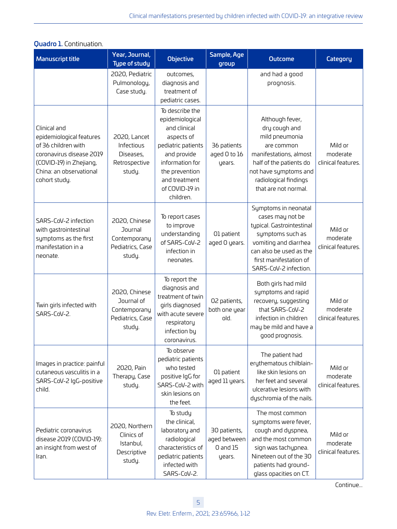| <b>Manuscript title</b>                                                                                                                                            | Year, Journal,<br><b>Type of study</b>                                    | <b>Objective</b>                                                                                                                                                                           | Sample, Age<br>group                                   | <b>Outcome</b>                                                                                                                                                                                   | Category                                  |
|--------------------------------------------------------------------------------------------------------------------------------------------------------------------|---------------------------------------------------------------------------|--------------------------------------------------------------------------------------------------------------------------------------------------------------------------------------------|--------------------------------------------------------|--------------------------------------------------------------------------------------------------------------------------------------------------------------------------------------------------|-------------------------------------------|
|                                                                                                                                                                    | 2020, Pediatric<br>Pulmonology,<br>Case study.                            | outcomes,<br>diagnosis and<br>treatment of<br>pediatric cases.                                                                                                                             |                                                        | and had a good<br>prognosis.                                                                                                                                                                     |                                           |
| Clinical and<br>epidemiological features<br>of 36 children with<br>coronavirus disease 2019<br>(COVID-19) in Zhejiang,<br>China: an observational<br>cohort study. | 2020, Lancet<br>Infectious<br>Diseases,<br>Retrospective<br>study.        | To describe the<br>epidemiological<br>and clinical<br>aspects of<br>pediatric patients<br>and provide<br>information for<br>the prevention<br>and treatment<br>of COVID-19 in<br>children. | 36 patients<br>aged 0 to 16<br>years.                  | Although fever,<br>dry cough and<br>mild pneumonia<br>are common<br>manifestations, almost<br>half of the patients do<br>not have symptoms and<br>radiological findings<br>that are not normal.  | Mild or<br>moderate<br>clinical features. |
| SARS-CoV-2 infection<br>with gastrointestinal<br>symptoms as the first<br>manifestation in a<br>neonate.                                                           | 2020, Chinese<br>Journal<br>Contemporany<br>Pediatrics, Case<br>study.    | To report cases<br>to improve<br>understanding<br>of SARS-CoV-2<br>infection in<br>neonates.                                                                                               | O1 patient<br>aged O years.                            | Symptoms in neonatal<br>cases may not be<br>typical. Gastrointestinal<br>symptoms such as<br>vomiting and diarrhea<br>can also be used as the<br>first manifestation of<br>SARS-CoV-2 infection. | Mild or<br>moderate<br>clinical features. |
| Twin girls infected with<br>SARS-CoV-2.                                                                                                                            | 2020, Chinese<br>Journal of<br>Contemporany<br>Pediatrics, Case<br>study. | To report the<br>diagnosis and<br>treatment of twin<br>girls diagnosed<br>with acute severe<br>respiratory<br>infection by<br>coronavirus.                                                 | 02 patients,<br>both one year<br>old.                  | Both girls had mild<br>symptoms and rapid<br>recovery, suggesting<br>that SARS-CoV-2<br>infection in children<br>may be mild and have a<br>good prognosis.                                       | Mild or<br>moderate<br>clinical features. |
| Images in practice: painful<br>cutaneous vasculitis in a<br>SARS-CoV-2 IgG-positive<br>child.                                                                      | 2020, Pain<br>Therapy, Case<br>study.                                     | To observe<br>pediatric patients<br>who tested<br>positive IgG for<br>SARS-CoV-2 with<br>skin lesions on<br>the feet.                                                                      | O1 patient<br>aged 11 years.                           | The patient had<br>erythematous chilblain-<br>like skin lesions on<br>her feet and several<br>ulcerative lesions with<br>dyschromia of the nails.                                                | Mild or<br>moderate<br>clinical features. |
| Pediatric coronavirus<br>disease 2019 (COVID-19):<br>an insight from west of<br>Iran.                                                                              | 2020, Northern<br>Clinics of<br>Istanbul,<br>Descriptive<br>study.        | To study<br>the clinical,<br>laboratory and<br>radiological<br>characteristics of<br>pediatric patients<br>infected with<br>SARS-CoV-2.                                                    | 30 patients,<br>aged between<br>$0$ and $15$<br>years. | The most common<br>symptoms were fever,<br>cough and dyspnea,<br>and the most common<br>sign was tachypnea.<br>Nineteen out of the 30<br>patients had ground-<br>glass opacities on CT.          | Mild or<br>moderate<br>clinical features. |

#### Quadro 1. Continuation.

Continue...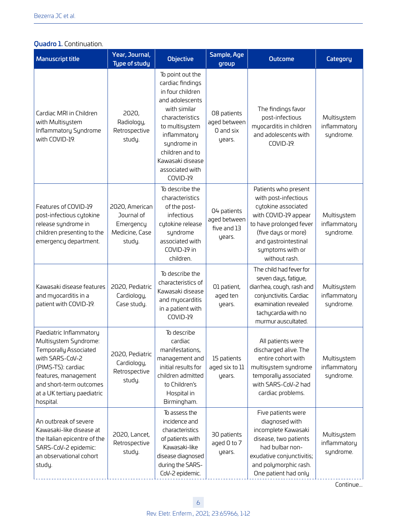# Quadro 1. Continuation.

| <b>Manuscript title</b>                                                                                                                                                                                           | Year, Journal,<br><b>Type of study</b>                                | <b>Objective</b>                                                                                                                                                                                                                       | Sample, Age<br>group                                 | <b>Outcome</b>                                                                                                                                                                                             | Category                                 |
|-------------------------------------------------------------------------------------------------------------------------------------------------------------------------------------------------------------------|-----------------------------------------------------------------------|----------------------------------------------------------------------------------------------------------------------------------------------------------------------------------------------------------------------------------------|------------------------------------------------------|------------------------------------------------------------------------------------------------------------------------------------------------------------------------------------------------------------|------------------------------------------|
| Cardiac MRI in Children<br>with Multisystem<br>Inflammatory Syndrome<br>with COVID-19.                                                                                                                            | 2020,<br>Radiology,<br>Retrospective<br>study.                        | To point out the<br>cardiac findings<br>in four children<br>and adolescents<br>with similar<br>characteristics<br>to multisystem<br>inflammatory<br>syndrome in<br>children and to<br>Kawasaki disease<br>associated with<br>COVID-19. | 08 patients<br>aged between<br>0 and six<br>years.   | The findings favor<br>post-infectious<br>myocarditis in children<br>and adolescents with<br>COVID-19.                                                                                                      | Multisystem<br>inflammatory<br>syndrome. |
| Features of COVID-19<br>post-infectious cytokine<br>release syndrome in<br>children presenting to the<br>emergency department.                                                                                    | 2020, American<br>Journal of<br>Emergency<br>Medicine, Case<br>study. | To describe the<br>characteristics<br>of the post-<br>infectious<br>cytokine release<br>syndrome<br>associated with<br>COVID-19 in<br>children.                                                                                        | 04 patients<br>aged between<br>five and 13<br>years. | Patients who present<br>with post-infectious<br>cytokine associated<br>with COVID-19 appear<br>to have prolonged fever<br>(five days or more)<br>and gastrointestinal<br>symptoms with or<br>without rash. | Multisystem<br>inflammatory<br>syndrome. |
| Kawasaki disease features<br>and myocarditis in a<br>patient with COVID-19.                                                                                                                                       | 2020, Pediatric<br>Cardiology,<br>Case study.                         | To describe the<br>characteristics of<br>Kawasaki disease<br>and myocarditis<br>in a patient with<br>COVID-19.                                                                                                                         | 01 patient,<br>aged ten<br>years.                    | The child had fever for<br>seven days, fatigue,<br>diarrhea, cough, rash and<br>conjunctivitis. Cardiac<br>examination revealed<br>tachycardia with no<br>murmur auscultated.                              | Multisystem<br>inflammatory<br>syndrome. |
| Paediatric Inflammatory<br>Multisystem Syndrome:<br>Temporally Associated<br>with SARS-CoV-2<br>(PIMS-TS): cardiac<br>features, management<br>and short-term outcomes<br>at a UK tertiary paediatric<br>hospital. | 2020, Pediatric<br>Cardiology,<br>Retrospective<br>study.             | To describe<br>cardiac<br>manifestations,<br>management and<br>initial results for<br>children admitted<br>to Children's<br>Hospital in<br>Birmingham.                                                                                 | 15 patients<br>aged six to 11<br>years.              | All patients were<br>discharged alive. The<br>entire cohort with<br>multisystem syndrome<br>temporally associated<br>with SARS-CoV-2 had<br>cardiac problems.                                              | Multisystem<br>inflammatory<br>syndrome. |
| An outbreak of severe<br>Kawasaki-like disease at<br>the Italian epicentre of the<br>SARS-CoV-2 epidemic:<br>an observational cohort<br>study.                                                                    | 2020, Lancet,<br>Retrospective<br>study.                              | To assess the<br>incidence and<br>characteristics<br>of patients with<br>Kawasaki-like<br>disease diagnosed<br>during the SARS-<br>CoV-2 epidemic.                                                                                     | 30 patients<br>aged 0 to 7<br>years.                 | Five patients were<br>diagnosed with<br>incomplete Kawasaki<br>disease, two patients<br>had bulbar non-<br>exudative conjunctivitis;<br>and polymorphic rash.<br>One patient had only                      | Multisystem<br>inflammatory<br>syndrome. |

Continue...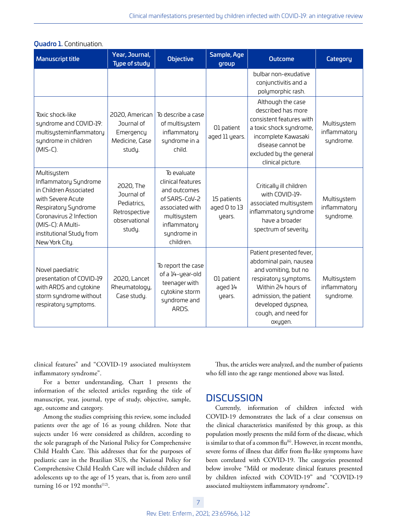| <b>Manuscript title</b>                                                                                                                                                                                   | Year, Journal,<br><b>Type of study</b>                                             | <b>Objective</b>                                                                                                                                | Sample, Age<br>group                  | <b>Outcome</b>                                                                                                                                                                                              | Category                                 |
|-----------------------------------------------------------------------------------------------------------------------------------------------------------------------------------------------------------|------------------------------------------------------------------------------------|-------------------------------------------------------------------------------------------------------------------------------------------------|---------------------------------------|-------------------------------------------------------------------------------------------------------------------------------------------------------------------------------------------------------------|------------------------------------------|
|                                                                                                                                                                                                           |                                                                                    |                                                                                                                                                 |                                       | bulbar non-exudative<br>conjunctivitis and a<br>polymorphic rash.                                                                                                                                           |                                          |
| Toxic shock-like<br>syndrome and COVID-19:<br>multisysteminflammatory<br>syndrome in children<br>$(MIS-C).$                                                                                               | 2020, American<br>Journal of<br>Emergency<br>Medicine, Case<br>study.              | To describe a case<br>of multisystem<br>inflammatory<br>syndrome in a<br>child.                                                                 | 01 patient<br>aged 11 years.          | Although the case<br>described has more<br>consistent features with<br>a toxic shock syndrome,<br>incomplete Kawasaki<br>disease cannot be<br>excluded by the general<br>clinical picture.                  | Multisystem<br>inflammatory<br>syndrome. |
| Multisystem<br>Inflammatory Syndrome<br>in Children Associated<br>with Severe Acute<br>Respiratory Syndrome<br>Coronavirus 2 Infection<br>(MIS-C): A Multi-<br>institutional Study from<br>New York City. | 2020, The<br>Journal of<br>Pediatrics,<br>Retrospective<br>observational<br>study. | To evaluate<br>clinical features<br>and outcomes<br>of SARS-CoV-2<br>associated with<br>multisystem<br>inflammatory<br>syndrome in<br>children. | 15 patients<br>aged 0 to 13<br>years. | Critically ill children<br>with COVID-19-<br>associated multisystem<br>inflammatory syndrome<br>have a broader<br>spectrum of severity.                                                                     | Multisystem<br>inflammatory<br>syndrome. |
| Novel paediatric<br>presentation of COVID-19<br>with ARDS and cytokine<br>storm syndrome without<br>respiratory symptoms.                                                                                 | 2020, Lancet<br>Rheumatology,<br>Case study.                                       | To report the case<br>of a 14-year-old<br>teenager with<br>cytokine storm<br>syndrome and<br>ARDS.                                              | 01 patient<br>aged 14<br>years.       | Patient presented fever,<br>abdominal pain, nausea<br>and vomiting, but no<br>respiratory symptoms.<br>Within 24 hours of<br>admission, the patient<br>developed dyspnea,<br>cough, and need for<br>oxygen. | Multisystem<br>inflammatory<br>syndrome. |

#### **Quadro 1.** Continuation.

clinical features" and "COVID-19 associated multisystem inflammatory syndrome".

For a better understanding, Chart 1 presents the information of the selected articles regarding the title of manuscript, year, journal, type of study, objective, sample, age, outcome and category.

Among the studies comprising this review, some included patients over the age of 16 as young children. Note that sujects under 16 were considered as children, according to the sole paragraph of the National Policy for Comprehensive Child Health Care. This addresses that for the purposes of pediatric care in the Brazilian SUS, the National Policy for Comprehensive Child Health Care will include children and adolescents up to the age of 15 years, that is, from zero until turning 16 or 192 months $(12)$ .

Thus, the articles were analyzed, and the number of patients who fell into the age range mentioned above was listed.

# **DISCUSSION**

Currently, information of children infected with COVID-19 demonstrates the lack of a clear consensus on the clinical characteristics manifested by this group, as this population mostly presents the mild form of the disease, which is similar to that of a common  $\text{flu}^{(6)}$ . However, in recent months, severe forms of illness that differ from flu-like symptoms have been correlated with COVID-19. The categories presented below involve "Mild or moderate clinical features presented by children infected with COVID-19" and "COVID-19 associated multisystem inflammatory syndrome".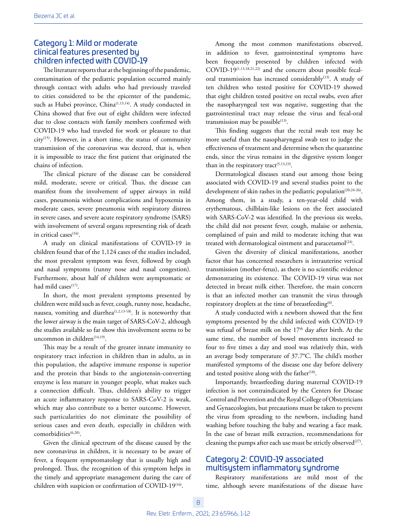### Category 1: Mild or moderate clinical features presented by children infected with COVID-19

The literature reports that at the beginning of the pandemic, contamination of the pediatric population occurred mainly through contact with adults who had previously traveled to cities considered to be the epicenter of the pandemic, such as Hubei province, China<sup>(1,13,14)</sup>. A study conducted in China showed that five out of eight children were infected due to close contacts with family members confirmed with COVID-19 who had traveled for work or pleasure to that city<sup>(15)</sup>. However, in a short time, the status of community transmission of the coronavirus was decreed, that is, when it is impossible to trace the first patient that originated the chains of infection.

The clinical picture of the disease can be considered mild, moderate, severe or critical. Thus, the disease can manifest from the involvement of upper airways in mild cases, pneumonia without complications and hypoxemia in moderate cases, severe pneumonia with respiratory distress in severe cases, and severe acute respiratory syndrome (SARS) with involvement of several organs representing risk of death in critical cases $(16)$ .

A study on clinical manifestations of COVID-19 in children found that of the 1,124 cases of the studies included, the most prevalent symptom was fever, followed by cough and nasal symptoms (runny nose and nasal congestion). Furthermore, about half of children were asymptomatic or had mild cases $(17)$ .

In short, the most prevalent symptoms presented by children were mild such as fever, cough, runny nose, headache, nausea, vomiting and diarrhea<sup> $(1,2,13-18)$ </sup>. It is noteworthy that the lower airway is the main target of SARS-CoV-2, although the studies available so far show this involvement seems to be uncommon in children $(14,19)$ .

This may be a result of the greater innate immunity to respiratory tract infection in children than in adults, as in this population, the adaptive immune response is superior and the protein that binds to the angiotensin-converting enzyme is less mature in younger people, what makes such a connection difficult. Thus, children's ability to trigger an acute inflammatory response to SARS-CoV-2 is weak, which may also contribute to a better outcome. However, such particularities do not eliminate the possibility of serious cases and even death, especially in children with comorbidities<sup>(6,20)</sup>.

Given the clinical spectrum of the disease caused by the new coronavirus in children, it is necessary to be aware of fever, a frequent symptomatology that is usually high and prolonged. Thus, the recognition of this symptom helps in the timely and appropriate management during the care of children with suspicion or confirmation of COVID-19<sup>(16)</sup>.

Among the most common manifestations observed, in addition to fever, gastrointestinal symptoms have been frequently presented by children infected with COVID-19(1,13,18,21,22) and the concern about possible fecaloral transmission has increased considerably<sup>(13)</sup>. A study of ten children who tested positive for COVID-19 showed that eight children tested positive on rectal swabs, even after the nasopharyngeal test was negative, suggesting that the gastrointestinal tract may release the virus and fecal-oral transmission may be possible $^{(13)}$ .

This finding suggests that the rectal swab test may be more useful than the nasopharyngeal swab test to judge the effectiveness of treatment and determine when the quarantine ends, since the virus remains in the digestive system longer than in the respiratory tract<sup>(5,13,23)</sup>.

Dermatological diseases stand out among those being associated with COVID-19 and several studies point to the development of skin rashes in the pediatric population<sup>(20,24-26)</sup>. Among them, in a study, a ten-year-old child with erythematous, chilblain-like lesions on the feet associated with SARS-CoV-2 was identified. In the previous six weeks, the child did not present fever, cough, malaise or asthenia, complained of pain and mild to moderate itching that was treated with dermatological ointment and paracetamol<sup>(24)</sup>.

Given the diversity of clinical manifestations, another factor that has concerned researchers is intrauterine vertical transmission (mother-fetus), as there is no scientific evidence demonstrating its existence. The COVID-19 virus was not detected in breast milk either. Therefore, the main concern is that an infected mother can transmit the virus through respiratory droplets at the time of breastfeeding<sup>(6)</sup>.

A study conducted with a newborn showed that the first symptoms presented by the child infected with COVID-19 was refusal of breast milk on the 17<sup>th</sup> day after birth. At the same time, the number of bowel movements increased to four to five times a day and stool was relatively thin, with an average body temperature of 37.7°C. The child's mother manifested symptoms of the disease one day before delivery and tested positive along with the father $(18)$ .

Importantly, breastfeeding during maternal COVID-19 infection is not contraindicated by the Centers for Disease Control and Prevention and the Royal College of Obstetricians and Gynaecologists, but precautions must be taken to prevent the virus from spreading to the newborn, including hand washing before touching the baby and wearing a face mask. In the case of breast milk extraction, recommendations for cleaning the pumps after each use must be strictly observed $(27)$ .

## Category 2: COVID-19 associated multisystem inflammatory syndrome

Respiratory manifestations are mild most of the time, although severe manifestations of the disease have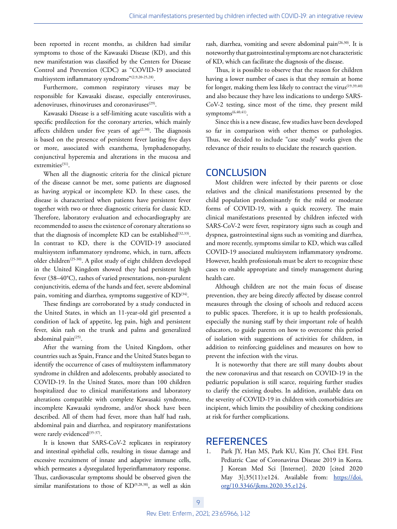been reported in recent months, as children had similar symptoms to those of the Kawasaki Disease (KD), and this new manifestation was classified by the Centers for Disease Control and Prevention (CDC) as "COVID-19 associated multisystem inflammatory syndrome"(2,9,20-25,28).

Furthermore, common respiratory viruses may be responsible for Kawasaki disease, especially enteroviruses, adenoviruses, rhinoviruses and coronaviruses<sup>(29)</sup>.

Kawasaki Disease is a self-limiting acute vasculitis with a specific predilection for the coronary arteries, which mainly affects children under five years of age $(2,30)$ . The diagnosis is based on the presence of persistent fever lasting five days or more, associated with exanthema, lymphadenopathy, conjunctival hyperemia and alterations in the mucosa and extremities<sup>(31)</sup>.

When all the diagnostic criteria for the clinical picture of the disease cannot be met, some patients are diagnosed as having atypical or incomplete KD. In these cases, the disease is characterized when patients have persistent fever together with two or three diagnostic criteria for classic KD. Therefore, laboratory evaluation and echocardiography are recommended to assess the existence of coronary alterations so that the diagnosis of incomplete KD can be established $(32,33)$ . In contrast to KD, there is the COVID-19 associated multisystem inflammatory syndrome, which, in turn, affects older children<sup>(25-30)</sup>. A pilot study of eight children developed in the United Kingdom showed they had persistent high fever (38–40°C), rashes of varied presentations, non-purulent conjunctivitis, edema of the hands and feet, severe abdominal pain, vomiting and diarrhea, symptoms suggestive of KD<sup>(34)</sup>.

These findings are corroborated by a study conducted in the United States, in which an 11-year-old girl presented a condition of lack of appetite, leg pain, high and persistent fever, skin rash on the trunk and palms and generalized abdominal pain<sup>(25)</sup>.

After the warning from the United Kingdom, other countries such as Spain, France and the United States began to identify the occurrence of cases of multisystem inflammatory syndrome in children and adolescents, probably associated to COVID-19. In the United States, more than 100 children hospitalized due to clinical manifestations and laboratory alterations compatible with complete Kawasaki syndrome, incomplete Kawasaki syndrome, and/or shock have been described. All of them had fever, more than half had rash, abdominal pain and diarrhea, and respiratory manifestations were rarely evidenced<sup>(35-37)</sup>.

It is known that SARS-CoV-2 replicates in respiratory and intestinal epithelial cells, resulting in tissue damage and excessive recruitment of innate and adaptive immune cells, which permeates a dysregulated hyperinflammatory response. Thus, cardiovascular symptoms should be observed given the similar manifestations to those of KD<sup>(9,28,38)</sup>, as well as skin

rash, diarrhea, vomiting and severe abdominal pain<sup>(26,30)</sup>. It is noteworthy that gastrointestinal symptoms are not characteristic of KD, which can facilitate the diagnosis of the disease.

Thus, it is possible to observe that the reason for children having a lower number of cases is that they remain at home for longer, making them less likely to contract the virus<sup>(19,39,40)</sup> and also because they have less indications to undergo SARS-CoV-2 testing, since most of the time, they present mild symptoms<sup>(6,40,41)</sup>.

Since this is a new disease, few studies have been developed so far in comparison with other themes or pathologies. Thus, we decided to include "case study" works given the relevance of their results to elucidate the research question.

# CONCLUSION

Most children were infected by their parents or close relatives and the clinical manifestations presented by the child population predominantly fit the mild or moderate forms of COVID-19, with a quick recovery. The main clinical manifestations presented by children infected with SARS-CoV-2 were fever, respiratory signs such as cough and dyspnea, gastrointestinal signs such as vomiting and diarrhea, and more recently, symptoms similar to KD, which was called COVID-19 associated multisystem inflammatory syndrome. However, health professionals must be alert to recognize these cases to enable appropriate and timely management during health care.

Although children are not the main focus of disease prevention, they are being directly affected by disease control measures through the closing of schools and reduced access to public spaces. Therefore, it is up to health professionals, especially the nursing staff by their important role of health educators, to guide parents on how to overcome this period of isolation with suggestions of activities for children, in addition to reinforcing guidelines and measures on how to prevent the infection with the virus.

It is noteworthy that there are still many doubts about the new coronavirus and that research on COVID-19 in the pediatric population is still scarce, requiring further studies to clarify the existing doubts. In addition, available data on the severity of COVID-19 in children with comorbidities are incipient, which limits the possibility of checking conditions at risk for further complications.

# **REFERENCES**

Park JY, Han MS, Park KU, Kim JY, Choi EH. First Pediatric Case of Coronavirus Disease 2019 in Korea. J Korean Med Sci [Internet]. 2020 [cited 2020 May 3];35(11):e124. Available from: [https://doi.](https://doi.org/10.3346/jkms.2020.35.e124) [org/10.3346/jkms.2020.35.e124](https://doi.org/10.3346/jkms.2020.35.e124).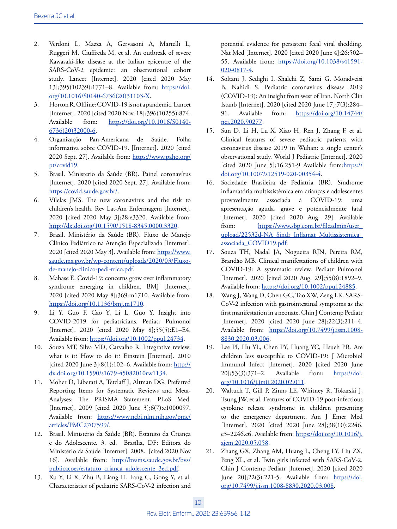- 2. Verdoni L, Mazza A, Gervasoni A, Martelli L, Ruggeri M, Ciuffreda M, et al. An outbreak of severe Kawasaki-like disease at the Italian epicentre of the SARS-CoV-2 epidemic: an observational cohort study. Lancet [Internet]. 2020 [cited 2020 May 13];395(10239):1771–8. Available from: [https://doi.](https://doi.org/10.1016/S0140-6736(20)31103-X) [org/10.1016/S0140-6736\(20\)31103-X](https://doi.org/10.1016/S0140-6736(20)31103-X).
- 3. Horton R. Offline: COVID-19 is not a pandemic. Lancet [Internet]. 2020 [cited 2020 Nov. 18];396(10255):874. Available from: [https://doi.org/10.1016/S0140-](https://doi.org/10.1016/S0140-6736(20)32000-6) [6736\(20\)32000-6](https://doi.org/10.1016/S0140-6736(20)32000-6).
- 4. Organização Pan-Americana de Saúde. Folha informativa sobre COVID-19. [Internet]. 2020 [cited 2020 Sept. 27]. Available from: [https://www.paho.org/](https://www.paho.org/pt/covid19) [pt/covid19.](https://www.paho.org/pt/covid19)
- 5. Brasil. Ministerio da Saúde (BR). Painel coronavírus [Internet]. 2020 [cited 2020 Sept. 27]. Available from: <https://covid.saude.gov.br/>.
- 6. Vilelas JMS. The new coronavirus and the risk to children's health. Rev Lat-Am Enfermagem [Internet]. 2020 [cited 2020 May 3];28:e3320. Available from: [http://dx.doi.org/10.1590/1518-8345.0000.3320.](http://dx.doi.org/10.1590/1518-8345.0000.3320)
- 7. Brasil. Ministério da Saúde (BR). Fluxo de Manejo Clínico Pediátrico na Atenção Especializada [Internet]. 2020 [cited 2020 May 3]. Available from: [https://www.](https://www.saude.ms.gov.br/wp-content/uploads/2020/03/Fluxo-de-manejo-clinico-pedi-trico.pdf) [saude.ms.gov.br/wp-content/uploads/2020/03/Fluxo](https://www.saude.ms.gov.br/wp-content/uploads/2020/03/Fluxo-de-manejo-clinico-pedi-trico.pdf)[de-manejo-clinico-pedi-trico.pdf.](https://www.saude.ms.gov.br/wp-content/uploads/2020/03/Fluxo-de-manejo-clinico-pedi-trico.pdf)
- 8. Mahase E. Covid-19: concerns grow over inflammatory syndrome emerging in children. BMJ [Internet]. 2020 [cited 2020 May 8];369:m1710. Available from: [https://doi.org/10.1136/bmj.m1710.](https://doi.org/10.1136/bmj.m1710)
- 9. Li Y, Guo F, Cao Y, Li L, Guo Y. Insight into COVID-2019 for pediatricians. Pediatr Pulmonol [Internet]. 2020 [cited 2020 May 8];55(5):E1–E4. Available from: <https://doi.org/10.1002/ppul.24734>.
- 10. Souza MT, Silva MD, Carvalho R. Integrative review: what is it? How to do it? Einstein [Internet]. 2010 [cited 2020 June 3];8(1):102–6. Available from:  $\frac{\text{http://}}{\text{http://}}$  $\frac{\text{http://}}{\text{http://}}$  $\frac{\text{http://}}{\text{http://}}$ [dx.doi.org/10.1590/s1679-45082010rw1134.](http://dx.doi.org/10.1590/s1679-45082010rw1134)
- 11. Moher D, Liberati A, Tetzlaff J, Altman DG. Preferred Reporting Items for Systematic Reviews and Meta-Analyses: The PRISMA Statement. PLoS Med. [Internet]. 2009 [cited 2020 June 3];6(7):e1000097. Available from: [https://www.ncbi.nlm.nih.gov/pmc/](https://www.ncbi.nlm.nih.gov/pmc/articles/PMC2707599/) [articles/PMC2707599/.](https://www.ncbi.nlm.nih.gov/pmc/articles/PMC2707599/)
- 12. Brasil. Ministério da Saúde (BR). Estatuto da Criança e do Adolescente. 3. ed. Brasília, DF: Editora do Ministério da Saúde [Internet]. 2008. [cited 2020 Nov 16]. Available from: [http://bvsms.saude.gov.br/bvs/](http://bvsms.saude.gov.br/bvs/publicacoes/estatuto_crianca_adolescente_3ed.pdf) [publicacoes/estatuto\\_crianca\\_adolescente\\_3ed.pdf](http://bvsms.saude.gov.br/bvs/publicacoes/estatuto_crianca_adolescente_3ed.pdf).
- 13. Xu Y, Li X, Zhu B, Liang H, Fang C, Gong Y, et al. Characteristics of pediatric SARS-CoV-2 infection and

potential evidence for persistent fecal viral shedding. Nat Med [Internet]. 2020 [cited 2020 June 4];26:502– 55. Available from: [https://doi.org/10.1038/s41591-](https://doi.org/10.1038/s41591-020-0817-4) [020-0817-4](https://doi.org/10.1038/s41591-020-0817-4).

- 14. Soltani J, Sedighi I, Shalchi Z, Sami G, Moradveisi B, Nahidi S. Pediatric coronavirus disease 2019 (COVID-19): An insight from west of Iran. North Clin Istanb [Internet]. 2020 [cited 2020 June 17];7(3):284– 91. Available from: [https://doi.org/10.14744/](https://doi.org/10.14744/nci.2020.90277) [nci.2020.90277](https://doi.org/10.14744/nci.2020.90277).
- 15. Sun D, Li H, Lu X, Xiao H, Ren J, Zhang F, et al. Clinical features of severe pediatric patients with coronavirus disease 2019 in Wuhan: a single center's observational study. World J Pediatric [Internet]. 2020 [cited 2020 June 5];16:251-9 Available from:[https://](https://doi.org/10.1007/s12519-020-00354-4) [doi.org/10.1007/s12519-020-00354-4](https://doi.org/10.1007/s12519-020-00354-4).
- 16. Sociedade Brasileira de Pediatria (BR). Síndrome inflamatória multissistêmica em crianças e adolescentes provavelmente associada à COVID-19: uma apresentação aguda, grave e potencialmente fatal [Internet]. 2020 [cited 2020 Aug. 29]. Available from: https://www.sbp.com.br/fileadmin/user upload/22532d-NA\_Sindr\_Inflamat\_Multissistemica [associada\\_COVID19.pdf.](https://www.sbp.com.br/fileadmin/user_upload/22532d-NA_Sindr_Inflamat_Multissistemica_associada_COVID19.pdf)
- 17. Souza TH, Nadal JA, Nogueira RJN, Pereira RM, Brandão MB. Clinical manifestations of children with COVID-19: A systematic review. Pediatr Pulmonol [Internet]. 2020 [cited 2020 Aug. 29];55(8):1892–9. Available from: <https://doi.org/10.1002/ppul.24885>.
- 18. Wang J, Wang D, Chen GC, Tao XW, Zeng LK. SARS-CoV-2 infection with gastrointestinal symptoms as the first manifestation in a neonate. Chin J Contemp Pediatr [Internet]. 2020 [cited 2020 June 28];22(3):211-4. Available from: [https://doi.org/10.7499/j.issn.1008-](https://doi.org/10.7499/j.issn.1008-8830.2020.03.006) [8830.2020.03.006](https://doi.org/10.7499/j.issn.1008-8830.2020.03.006).
- 19. Lee PI, Hu YL, Chen PY, Huang YC, Hsueh PR. Are children less susceptible to COVID-19? J Microbiol Immunol Infect [Internet]. 2020 [cited 2020 June 20];53(3):371–2. Available from: [https://doi.](https://doi.org/10.1016/j.jmii.2020.02.011) [org/10.1016/j.jmii.2020.02.011](https://doi.org/10.1016/j.jmii.2020.02.011).
- 20. Waltuch T, Gill P, Zinns LE, Whitney R, Tokarski J, Tsung JW, et al. Features of COVID-19 post-infectious cytokine release syndrome in children presenting to the emergency department. Am J Emer Med [Internet]. 2020 [cited 2020 June 28];38(10):2246. e3-2246.e6. Available from: [https://doi.org/10.1016/j.](https://doi.org/10.1016/j.ajem.2020.05.058) [ajem.2020.05.058.](https://doi.org/10.1016/j.ajem.2020.05.058)
- 21. Zhang GX, Zhang AM, Huang L, Cheng LY, Liu ZX, Peng XL, et al. Twin girls infected with SARS-CoV-2. Chin J Contemp Pediatr [Internet]. 2020 [cited 2020 June 20];22(3):221-5. Available from: [https://doi.](https://doi.org/10.7499/j.issn.1008-8830.2020.03.008) [org/10.7499/j.issn.1008-8830.2020.03.008.](https://doi.org/10.7499/j.issn.1008-8830.2020.03.008)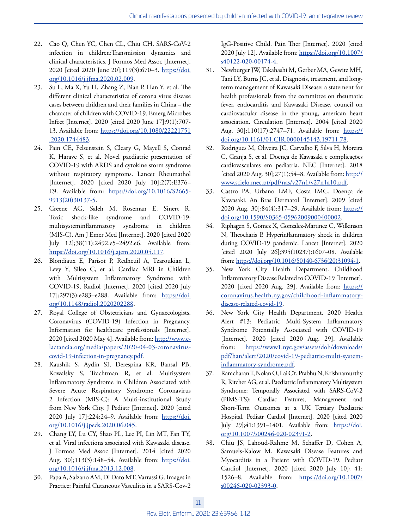- 22. Cao Q, Chen YC, Chen CL, Chiu CH. SARS-CoV-2 infection in children:Transmission dynamics and clinical characteristics. J Formos Med Assoc [Internet]. 2020 [cited 2020 June 20];119(3):670–3. [https://doi.](https://doi.org/10.1016/j.jfma.2020.02.009) [org/10.1016/j.jfma.2020.02.009](https://doi.org/10.1016/j.jfma.2020.02.009).
- 23. Su L, Ma X, Yu H, Zhang Z, Bian P, Han Y, et al. The different clinical characteristics of corona virus disease cases between children and their families in China – the character of children with COVID-19. Emerg Microbes Infect [Internet]. 2020 [cited 2020 June 17];9(1):707- 13. Available from: [https://doi.org/10.1080/22221751](https://doi.org/10.1080/22221751.2020.1744483) [.2020.1744483.](https://doi.org/10.1080/22221751.2020.1744483)
- 24. Pain CE, Felsenstein S, Cleary G, Mayell S, Conrad K, Harave S, et al. Novel paediatric presentation of COVID-19 with ARDS and cytokine storm syndrome without respiratory symptoms. Lancet Rheumathol [Internet]. 2020 [cited 2020 July 10];2(7):E376– E9. Available from: [https://doi.org/10.1016/S2665-](https://doi.org/10.1016/S2665-9913(20)30137-5) [9913\(20\)30137-5](https://doi.org/10.1016/S2665-9913(20)30137-5).
- 25. Greene AG, Saleh M, Roseman E, Sinert R. Toxic shock-like syndrome and COVID-19: multisysteminflammatory syndrome in children (MIS-C). Am J Emer Med [Internet]. 2020 [cited 2020 July 12];38(11):2492.e5–2492.e6. Available from: [https://doi.org/10.1016/j.ajem.2020.05.117.](https://doi.org/10.1016/j.ajem.2020.05.117)
- 26. Blondiaux E, Parisot P, Redheuil A, Tzaroukian L, Levy Y, Sileo C, et al. Cardiac MRI in Children with Multisystem Inflammatory Syndrome with COVID-19. Radiol [Internet]. 2020 [cited 2020 July 17];297(3):e283–e288. Available from: [https://doi.](https://doi.org/10.1148/radiol.2020202288) [org/10.1148/radiol.2020202288](https://doi.org/10.1148/radiol.2020202288).
- 27. Royal College of Obstetricians and Gynaecologists. Coronavirus (COVID-19) Infection in Pregnancy. Information for healthcare professionals [Internet]. 2020 [cited 2020 May 4]. Available from: [http://www.e](http://www.e-lactancia.org/media/papers/2020-04-03-coronavirus-covid-19-infection-in-pregnancy.pdf)[lactancia.org/media/papers/2020-04-03-coronavirus](http://www.e-lactancia.org/media/papers/2020-04-03-coronavirus-covid-19-infection-in-pregnancy.pdf)[covid-19-infection-in-pregnancy.pdf.](http://www.e-lactancia.org/media/papers/2020-04-03-coronavirus-covid-19-infection-in-pregnancy.pdf)
- 28. Kaushik S, Aydin SI, Derespina KR, Bansal PB, Kowalsky S, Trachtman R, et al. Multisystem Inflammatory Syndrome in Children Associated with Severe Acute Respiratory Syndrome Coronavirus 2 Infection (MIS-C): A Multi-institutional Study from New York City. J Pediatr [Internet]. 2020 [cited 2020 July 17];224:24-9. Available from: [https://doi.](https://doi.org/10.1016/j.jpeds.2020.06.045) [org/10.1016/j.jpeds.2020.06.045.](https://doi.org/10.1016/j.jpeds.2020.06.045)
- 29. Chang LY, Lu CY, Shao PL, Lee PI, Lin MT, Fan TY, et al. Viral infections associated with Kawasaki disease. J Formos Med Assoc [Internet]. 2014 [cited 2020 Aug. 30];113(3):148–54. Available from: [https://doi.](https://doi.org/10.1016/j.jfma.2013.12.008) [org/10.1016/j.jfma.2013.12.008](https://doi.org/10.1016/j.jfma.2013.12.008).
- 30. Papa A, Salzano AM, Di Dato MT, Varrassi G. Images in Practice: Painful Cutaneous Vasculitis in a SARS-Cov-2

IgG-Positive Child. Pain Ther [Internet]. 2020 [cited 2020 July 12]. Available from: [https://doi.org/10.1007/](https://doi.org/10.1007/s40122-020-00174-4) [s40122-020-00174-4](https://doi.org/10.1007/s40122-020-00174-4).

- 31. Newburger JW, Takahashi M, Gerber MA, Gewitz MH, Tani LY, Burns JC, et al. Diagnosis, treatment, and longterm management of Kawasaki Disease: a statement for health professionals from the committee on rheumatic fever, endocarditis and Kawasaki Disease, council on cardiovascular disease in the young, american heart association. Circulation [Internet]. 2004 [cited 2020 Aug. 30];110(17):2747-71. Available from: [https://](https://doi.org/10.1161/01.CIR.0000145143.19711.78) [doi.org/10.1161/01.CIR.0000145143.19711.78](https://doi.org/10.1161/01.CIR.0000145143.19711.78).
- 32. Rodrigues M, Oliveira JC, Carvalho F, Silva H, Moreira C, Granja S, et al. Doença de Kawasaki e complicações cardiovasculares em pediatria. NEC [Internet]. 2018 [cited 2020 Aug. 30];27(1):54–8. Available from: [http://](http://www.scielo.mec.pt/pdf/nas/v27n1/v27n1a10.pdf) [www.scielo.mec.pt/pdf/nas/v27n1/v27n1a10.pdf](http://www.scielo.mec.pt/pdf/nas/v27n1/v27n1a10.pdf).
- 33. Castro PA, Urbano LMF, Costa IMC. Doença de Kawasaki. An Bras Dermatol [Internet]. 2009 [cited 2020 Aug. 30];84(4):317–29. Available from: [https://](https://doi.org/10.1590/S0365-05962009000400002) [doi.org/10.1590/S0365-05962009000400002](https://doi.org/10.1590/S0365-05962009000400002).
- 34. Riphagen S, Gomez X, Gonzalez-Martinez C, Wilkinson N, Theocharis P. Hyperinflammatory shock in children during COVID-19 pandemic. Lancet [Internet]. 2020 [cited 2020 July 26];395(10237):1607–08. Available from: [https://doi.org/10.1016/S0140-6736\(20\)31094-1](https://doi.org/10.1016/S0140-6736(20)31094-1).
- 35. New York City Health Department. Childhood Inflammatory Disease Related to COVID-19 [Internet]. 2020 [cited 2020 Aug. 29]. Available from: [https://](https://coronavirus.health.ny.gov/childhood-inflammatory-disease-related-covid-19) [coronavirus.health.ny.gov/childhood-inflammatory](https://coronavirus.health.ny.gov/childhood-inflammatory-disease-related-covid-19)[disease-related-covid-19.](https://coronavirus.health.ny.gov/childhood-inflammatory-disease-related-covid-19)
- 36. New York City Health Department. 2020 Health Alert #13: Pediatric Multi-System Inflammatory Syndrome Potentially Associated with COVID-19 [Internet]. 2020 [cited 2020 Aug. 29]. Available from: [https://www1.nyc.gov/assets/doh/downloads/](https://www1.nyc.gov/assets/doh/downloads/pdf/han/alert/2020/covid-19-pediatric-multi-system-inflammatory-syndrome.pdf) [pdf/han/alert/2020/covid-19-pediatric-multi-system](https://www1.nyc.gov/assets/doh/downloads/pdf/han/alert/2020/covid-19-pediatric-multi-system-inflammatory-syndrome.pdf)[inflammatory-syndrome.pdf.](https://www1.nyc.gov/assets/doh/downloads/pdf/han/alert/2020/covid-19-pediatric-multi-system-inflammatory-syndrome.pdf)
- 37. Ramcharan T, Nolan O, Lai CY, Prabhu N, Krishnamurthy R, Ritcher AG, et al. Paediatric Inflammatory Multisystem Syndrome: Temporally Associated with SARS-CoV-2 (PIMS-TS): Cardiac Features, Management and Short-Term Outcomes at a UK Tertiary Paediatric Hospital. Pediatr Cardiol [Internet]. 2020 [cited 2020 July 29];41:1391-1401. Available from: [https://doi.](https://doi.org/10.1007/s00246-020-02391-2) [org/10.1007/s00246-020-02391-2](https://doi.org/10.1007/s00246-020-02391-2).
- 38. Chiu JS, Lahoud-Rahme M, Schaffer D, Cohen A, Samuels-Kalow M. Kawasaki Disease Features and Myocarditis in a Patient with COVID-19. Pediatr Cardiol [Internet]. 2020 [cited 2020 July 10]; 41: 1526–8. Available from: [https://doi.org/10.1007/](https://doi.org/10.1007/s00246-020-02393-0) [s00246-020-02393-0](https://doi.org/10.1007/s00246-020-02393-0).